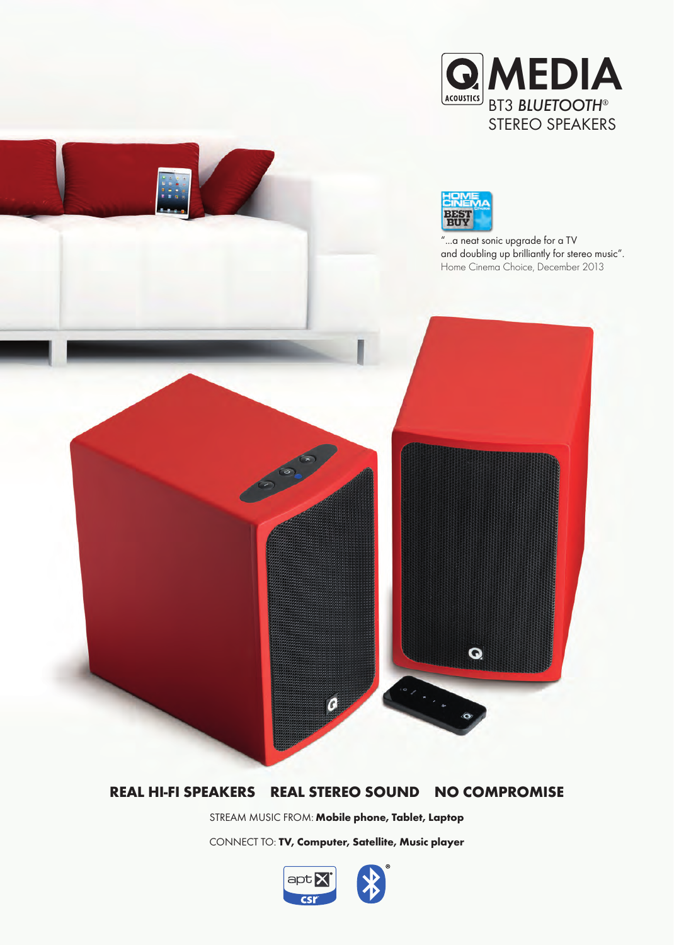



## **REAL HI-FI SPEAKERS REAL STEREO SOUND NO COMPROMISE**

STREAM MUSIC FROM: **Mobile phone, Tablet, Laptop**

CONNECT TO: **TV, Computer, Satellite, Music player**